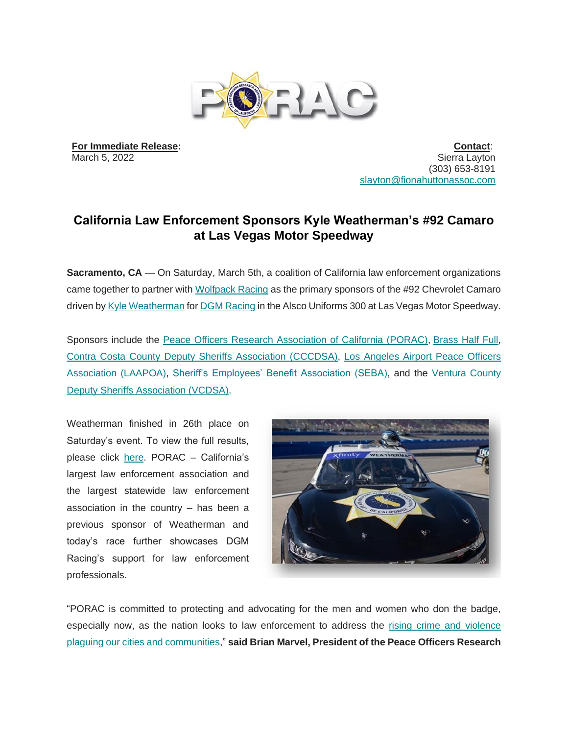

**For Immediate Release:** March 5, 2022

**Contact**: Sierra Layton (303) 653-8191 [slayton@fionahuttonassoc.com](mailto:slayton@fionahuttonassoc.com)

## **California Law Enforcement Sponsors Kyle Weatherman's #92 Camaro at Las Vegas Motor Speedway**

**Sacramento, CA** — On Saturday, March 5th, a coalition of California law enforcement organizations came together to partner with [Wolfpack Racing](https://wolfpackracingusa.com/) as the primary sponsors of the #92 Chevrolet Camaro driven b[y Kyle Weatherman](https://kyleweatherman.com/) for **DGM Racing** in the Alsco Uniforms 300 at Las Vegas Motor Speedway.

Sponsors include the [Peace Officers Research Association of](https://porac.org/) [California](https://porac.org/) [\(PORAC\),](https://porac.org/) [Brass Half Full,](https://www.brasshalffull.com/) [Contra Costa County Deputy Sheriffs Association \(CCCDSA\),](https://contracostadsa.org/) [Los Angeles Airport](https://laapoa.com/) [Peace Officers](https://laapoa.com/)  [Association \(LAAPOA\),](https://laapoa.com/) [Sheriff's Employees' Benefit Association \(SEBA\),](https://www.seba.com/) and the [Ventura County](https://vcdsa.org/)  [Deputy Sheriffs Association \(VCDSA\).](https://vcdsa.org/)

Weatherman finished in 26th place on Saturday's event. To view the full results, please click [here.](https://www.nascar.com/results/racecenter/2022/nascar-xfinity-series/alsco-uniforms-300/stn/live/) PORAC – California's largest law enforcement association and the largest statewide law enforcement association in the country – has been a previous sponsor of Weatherman and today's race further showcases DGM Racing's support for law enforcement professionals.



"PORAC is committed to protecting and advocating for the men and women who don the badge, especially now, as the nation looks to law enforcement to address the [rising crime and violence](https://capitolweekly.net/with-violent-crime-rising-lawmakers-need-to-step-up/)  [plaguing our cities and communities,](https://capitolweekly.net/with-violent-crime-rising-lawmakers-need-to-step-up/)" **said Brian Marvel, President of the Peace Officers Research**